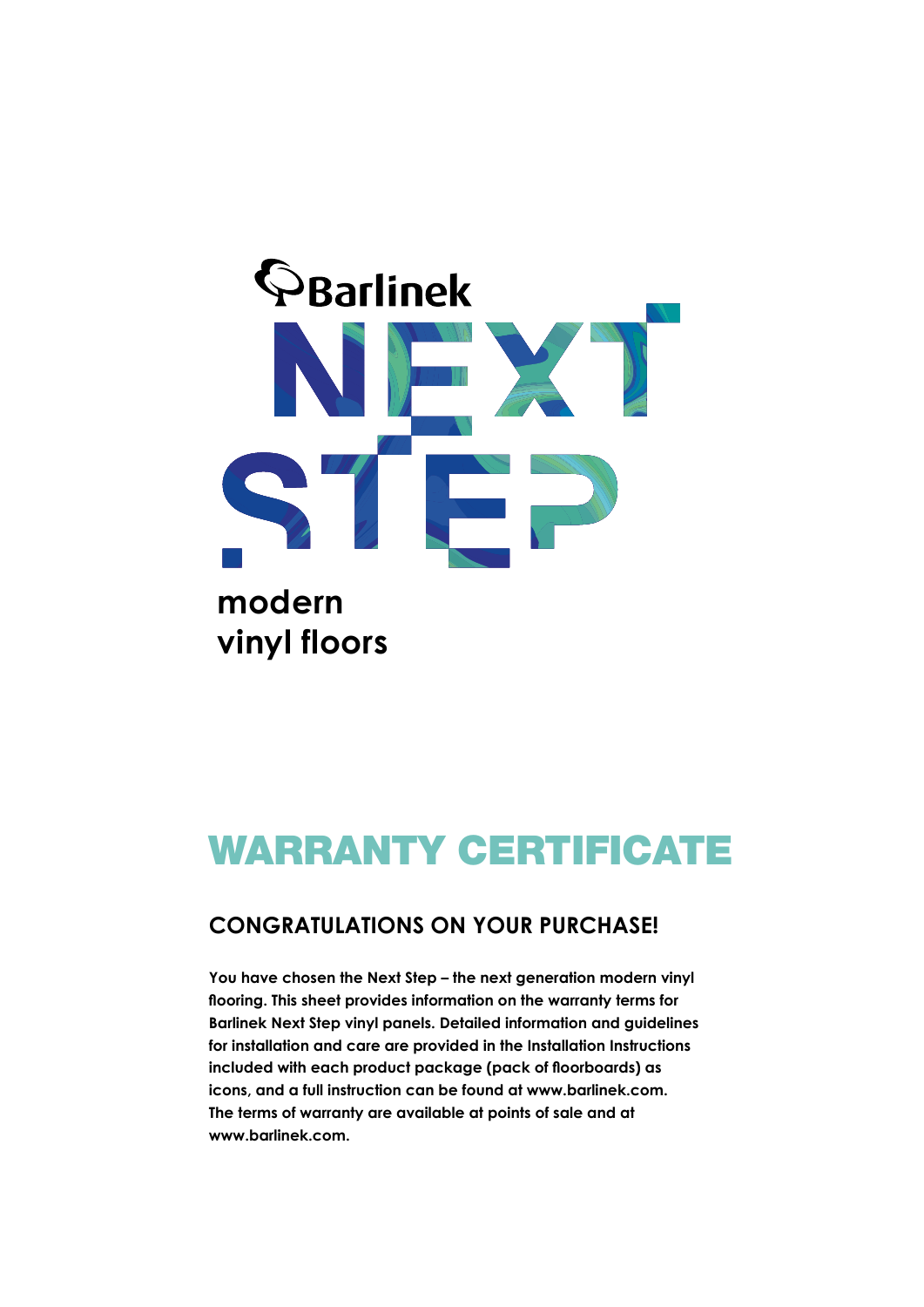

# WARRANTY CERTIFICATE

### **CONGRATULATIONS ON YOUR PURCHASE!**

**You have chosen the Next Step – the next generation modern vinyl flooring. This sheet provides information on the warranty terms for Barlinek Next Step vinyl panels. Detailed information and guidelines for installation and care are provided in the Installation Instructions included with each product package (pack of floorboards) as icons, and a full instruction can be found at www.barlinek.com. The terms of warranty are available at points of sale and at www.barlinek.com.**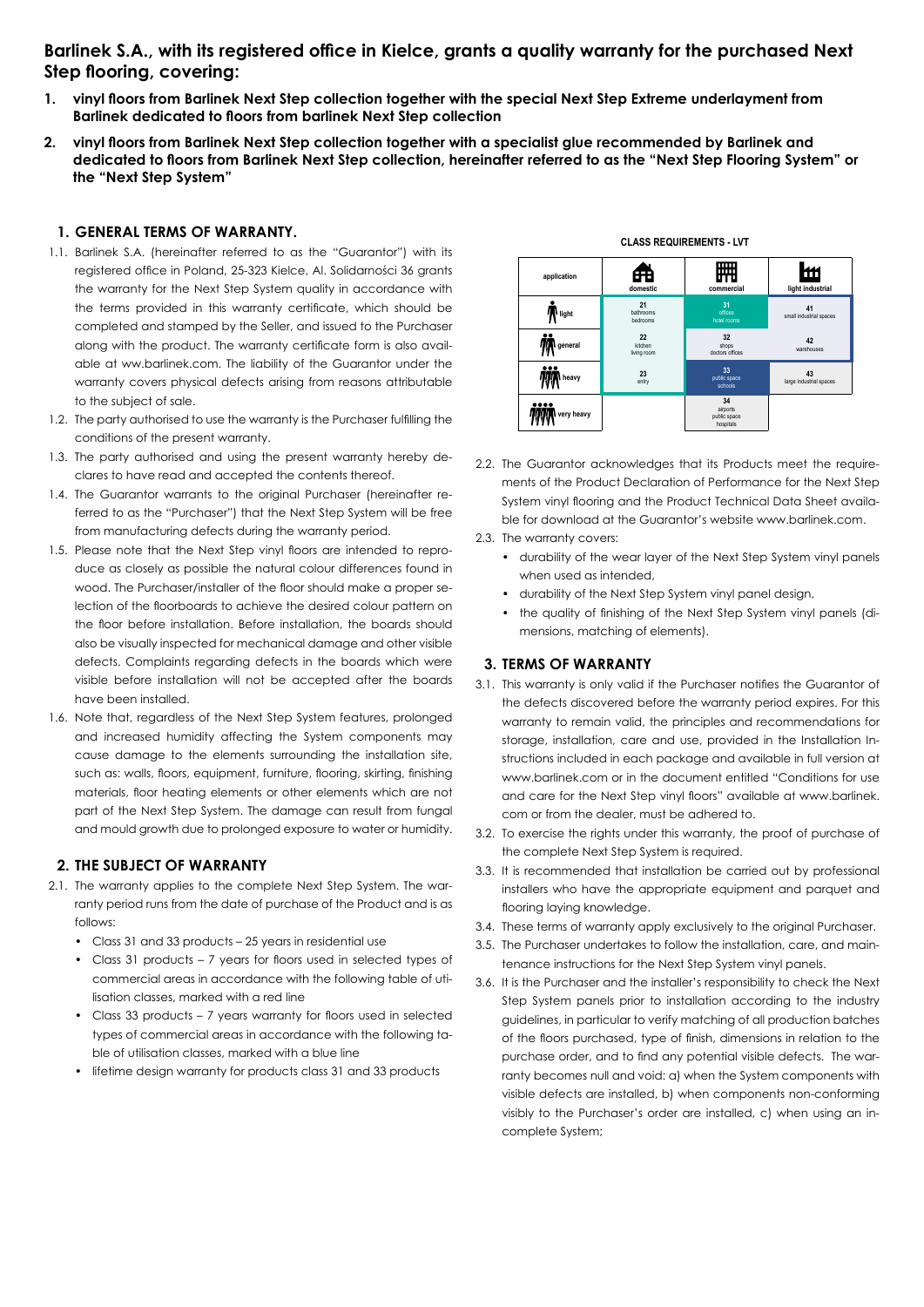#### **Barlinek S.A., with its registered office in Kielce, grants a quality warranty for the purchased Next Step flooring, covering:**

- **1. vinyl floors from Barlinek Next Step collection together with the special Next Step Extreme underlayment from Barlinek dedicated to floors from barlinek Next Step collection**
- **2. vinyl floors from Barlinek Next Step collection together with a specialist glue recommended by Barlinek and dedicated to floors from Barlinek Next Step collection, hereinafter referred to as the "Next Step Flooring System" or the "Next Step System"**

#### **1. GENERAL TERMS OF WARRANTY.**

- 1.1. Barlinek S.A. (hereinafter referred to as the "Guarantor") with its registered office in Poland, 25-323 Kielce, Al. Solidarności 36 grants the warranty for the Next Step System quality in accordance with the terms provided in this warranty certificate, which should be completed and stamped by the Seller, and issued to the Purchaser along with the product. The warranty certificate form is also available at ww.barlinek.com. The liability of the Guarantor under the warranty covers physical defects arising from reasons attributable to the subject of sale.
- 1.2. The party authorised to use the warranty is the Purchaser fulfilling the conditions of the present warranty.
- 1.3. The party authorised and using the present warranty hereby declares to have read and accepted the contents thereof.
- 1.4. The Guarantor warrants to the original Purchaser (hereinafter referred to as the "Purchaser") that the Next Step System will be free from manufacturing defects during the warranty period.
- 1.5. Please note that the Next Step vinyl floors are intended to reproduce as closely as possible the natural colour differences found in wood. The Purchaser/installer of the floor should make a proper selection of the floorboards to achieve the desired colour pattern on the floor before installation. Before installation, the boards should also be visually inspected for mechanical damage and other visible defects. Complaints regarding defects in the boards which were visible before installation will not be accepted after the boards have been installed.
- 1.6. Note that, regardless of the Next Step System features, prolonged and increased humidity affecting the System components may cause damage to the elements surrounding the installation site, such as: walls, floors, equipment, furniture, flooring, skirting, finishing materials, floor heating elements or other elements which are not part of the Next Step System. The damage can result from fungal and mould growth due to prolonged exposure to water or humidity.

#### **2. THE SUBJECT OF WARRANTY**

- 2.1. The warranty applies to the complete Next Step System. The warranty period runs from the date of purchase of the Product and is as follows:
	- Class 31 and 33 products 25 years in residential use
	- Class 31 products 7 years for floors used in selected types of commercial areas in accordance with the following table of utilisation classes, marked with a red line
	- Class 33 products 7 years warranty for floors used in selected types of commercial areas in accordance with the following table of utilisation classes, marked with a blue line
	- lifetime design warranty for products class 31 and 33 products



- 2.2. The Guarantor acknowledges that its Products meet the requirements of the Product Declaration of Performance for the Next Step System vinyl flooring and the Product Technical Data Sheet available for download at the Guarantor's website www.barlinek.com.
- 2.3. The warranty covers:
	- durability of the wear layer of the Next Step System vinyl panels when used as intended,
	- durability of the Next Step System vinyl panel design,
	- the quality of finishing of the Next Step System vinyl panels (dimensions, matching of elements).

#### **3. TERMS OF WARRANTY**

- 3.1. This warranty is only valid if the Purchaser notifies the Guarantor of the defects discovered before the warranty period expires. For this warranty to remain valid, the principles and recommendations for storage, installation, care and use, provided in the Installation Instructions included in each package and available in full version at www.barlinek.com or in the document entitled "Conditions for use and care for the Next Step vinyl floors" available at www.barlinek. com or from the dealer, must be adhered to.
- 3.2. To exercise the rights under this warranty, the proof of purchase of the complete Next Step System is required.
- 3.3. It is recommended that installation be carried out by professional installers who have the appropriate equipment and parquet and flooring laying knowledge.
- 3.4. These terms of warranty apply exclusively to the original Purchaser.
- 3.5. The Purchaser undertakes to follow the installation, care, and maintenance instructions for the Next Step System vinyl panels.
- 3.6. It is the Purchaser and the installer's responsibility to check the Next Step System panels prior to installation according to the industry guidelines, in particular to verify matching of all production batches of the floors purchased, type of finish, dimensions in relation to the purchase order, and to find any potential visible defects. The warranty becomes null and void: a) when the System components with visible defects are installed, b) when components non-conforming visibly to the Purchaser's order are installed, c) when using an incomplete System;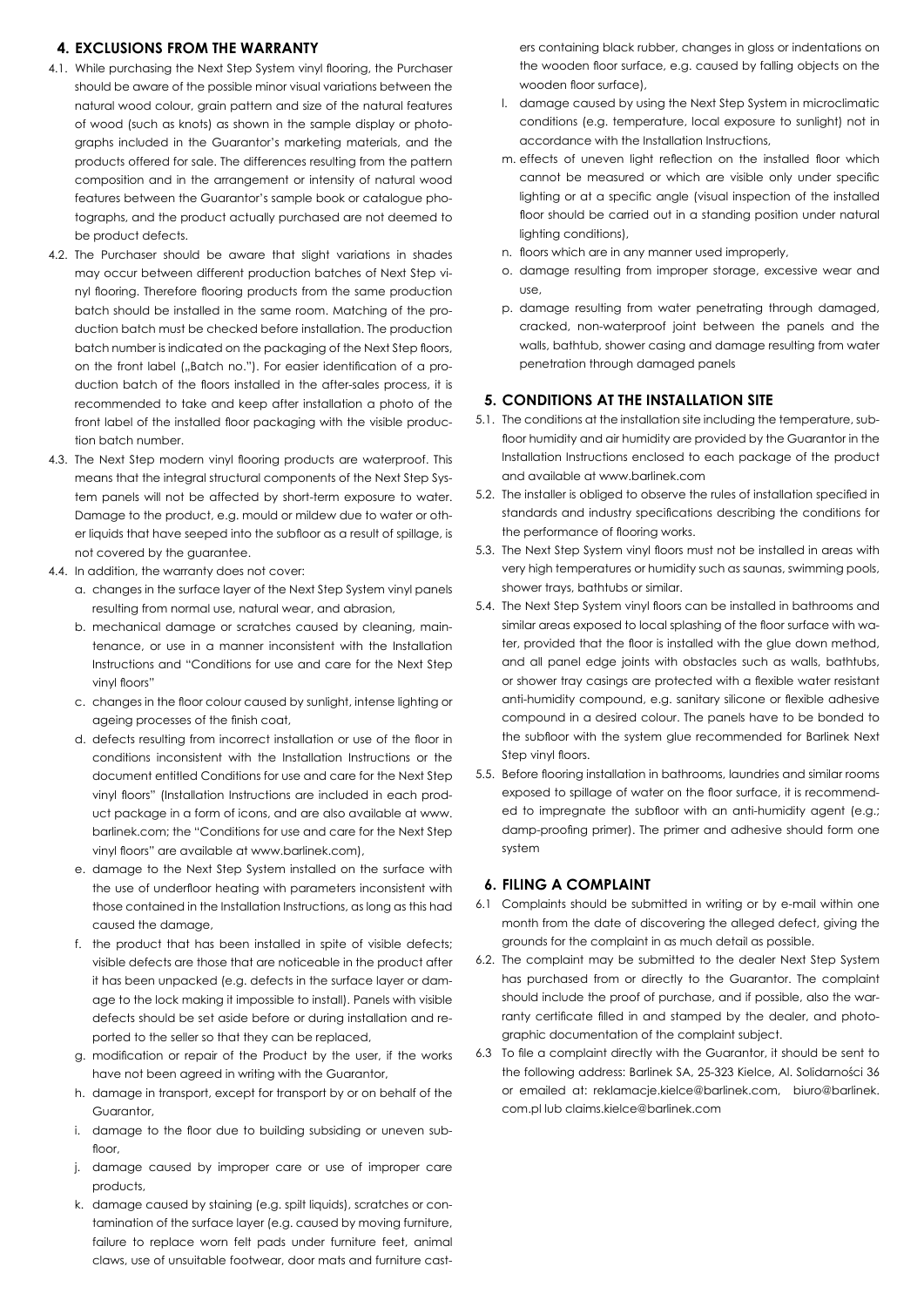#### **4. EXCLUSIONS FROM THE WARRANTY**

- 4.1. While purchasing the Next Step System vinyl flooring, the Purchaser should be aware of the possible minor visual variations between the natural wood colour, grain pattern and size of the natural features of wood (such as knots) as shown in the sample display or photographs included in the Guarantor's marketing materials, and the products offered for sale. The differences resulting from the pattern composition and in the arrangement or intensity of natural wood features between the Guarantor's sample book or catalogue photographs, and the product actually purchased are not deemed to be product defects.
- 4.2. The Purchaser should be aware that slight variations in shades may occur between different production batches of Next Step vinyl flooring. Therefore flooring products from the same production batch should be installed in the same room. Matching of the production batch must be checked before installation. The production batch number is indicated on the packaging of the Next Step floors, on the front label ("Batch no."). For easier identification of a production batch of the floors installed in the after-sales process, it is recommended to take and keep after installation a photo of the front label of the installed floor packaging with the visible production batch number.
- 4.3. The Next Step modern vinyl flooring products are waterproof. This means that the integral structural components of the Next Step System panels will not be affected by short-term exposure to water. Damage to the product, e.g. mould or mildew due to water or other liquids that have seeped into the subfloor as a result of spillage, is not covered by the guarantee.
- 4.4. In addition, the warranty does not cover:
	- a. changes in the surface layer of the Next Step System vinyl panels resulting from normal use, natural wear, and abrasion,
	- b. mechanical damage or scratches caused by cleaning, maintenance, or use in a manner inconsistent with the Installation Instructions and "Conditions for use and care for the Next Step vinyl floors"
	- c. changes in the floor colour caused by sunlight, intense lighting or ageing processes of the finish coat,
	- d. defects resulting from incorrect installation or use of the floor in conditions inconsistent with the Installation Instructions or the document entitled Conditions for use and care for the Next Step vinyl floors" (Installation Instructions are included in each product package in a form of icons, and are also available at www. barlinek.com; the "Conditions for use and care for the Next Step vinyl floors" are available at www.barlinek.com),
	- e. damage to the Next Step System installed on the surface with the use of underfloor heating with parameters inconsistent with those contained in the Installation Instructions, as long as this had caused the damage,
	- f. the product that has been installed in spite of visible defects; visible defects are those that are noticeable in the product after it has been unpacked (e.g. defects in the surface layer or damage to the lock making it impossible to install). Panels with visible defects should be set aside before or during installation and reported to the seller so that they can be replaced,
	- g. modification or repair of the Product by the user, if the works have not been agreed in writing with the Guarantor,
	- h. damage in transport, except for transport by or on behalf of the Guarantor,
	- i. damage to the floor due to building subsiding or uneven subfloor.
	- j. damage caused by improper care or use of improper care products,
	- k. damage caused by staining (e.g. spilt liquids), scratches or contamination of the surface layer (e.g. caused by moving furniture, failure to replace worn felt pads under furniture feet, animal claws, use of unsuitable footwear, door mats and furniture cast-

ers containing black rubber, changes in gloss or indentations on the wooden floor surface, e.g. caused by falling objects on the wooden floor surface),

- l. damage caused by using the Next Step System in microclimatic conditions (e.g. temperature, local exposure to sunlight) not in accordance with the Installation Instructions,
- m. effects of uneven light reflection on the installed floor which cannot be measured or which are visible only under specific lighting or at a specific angle (visual inspection of the installed floor should be carried out in a standing position under natural lighting conditions),
- n. floors which are in any manner used improperly,
- o. damage resulting from improper storage, excessive wear and  $PQ$
- p. damage resulting from water penetrating through damaged, cracked, non-waterproof joint between the panels and the walls, bathtub, shower casing and damage resulting from water penetration through damaged panels

#### **5. CONDITIONS AT THE INSTALLATION SITE**

- 5.1. The conditions at the installation site including the temperature, subfloor humidity and air humidity are provided by the Guarantor in the Installation Instructions enclosed to each package of the product and available at www.barlinek.com
- 5.2. The installer is obliged to observe the rules of installation specified in standards and industry specifications describing the conditions for the performance of flooring works.
- 5.3. The Next Step System vinyl floors must not be installed in areas with very high temperatures or humidity such as saunas, swimming pools, shower trays, bathtubs or similar.
- 5.4. The Next Step System vinyl floors can be installed in bathrooms and similar areas exposed to local splashing of the floor surface with water, provided that the floor is installed with the glue down method, and all panel edge joints with obstacles such as walls, bathtubs, or shower tray casings are protected with a flexible water resistant anti-humidity compound, e.g. sanitary silicone or flexible adhesive compound in a desired colour. The panels have to be bonded to the subfloor with the system glue recommended for Barlinek Next Step vinyl floors.
- 5.5. Before flooring installation in bathrooms, laundries and similar rooms exposed to spillage of water on the floor surface, it is recommended to impregnate the subfloor with an anti-humidity agent (e.g.; damp-proofing primer). The primer and adhesive should form one system

#### **6. FILING A COMPLAINT**

- 6.1 Complaints should be submitted in writing or by e-mail within one month from the date of discovering the alleged defect, giving the grounds for the complaint in as much detail as possible.
- 6.2. The complaint may be submitted to the dealer Next Step System has purchased from or directly to the Guarantor. The complaint should include the proof of purchase, and if possible, also the warranty certificate filled in and stamped by the dealer, and photographic documentation of the complaint subject.
- 6.3 To file a complaint directly with the Guarantor, it should be sent to the following address: Barlinek SA, 25-323 Kielce, Al. Solidarności 36 or emailed at: reklamacje.kielce@barlinek.com, biuro@barlinek. com.pl lub claims.kielce@barlinek.com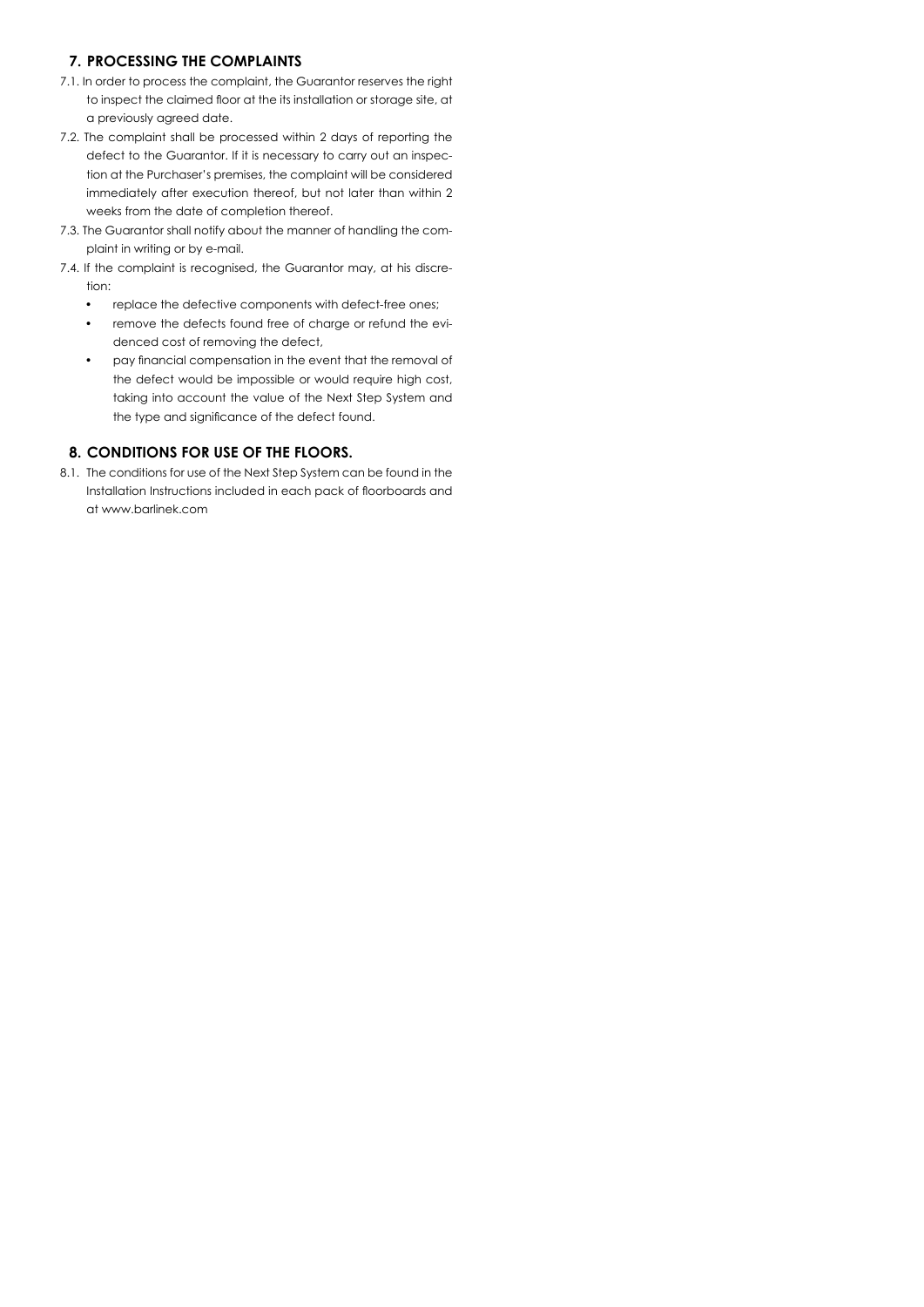#### **7. PROCESSING THE COMPLAINTS**

- 7.1. In order to process the complaint, the Guarantor reserves the right to inspect the claimed floor at the its installation or storage site, at a previously agreed date.
- 7.2. The complaint shall be processed within 2 days of reporting the defect to the Guarantor. If it is necessary to carry out an inspection at the Purchaser's premises, the complaint will be considered immediately after execution thereof, but not later than within 2 weeks from the date of completion thereof.
- 7.3. The Guarantor shall notify about the manner of handling the complaint in writing or by e-mail.
- 7.4. If the complaint is recognised, the Guarantor may, at his discretion:
	- replace the defective components with defect-free ones;
	- remove the defects found free of charge or refund the evidenced cost of removing the defect,
	- pay financial compensation in the event that the removal of the defect would be impossible or would require high cost, taking into account the value of the Next Step System and the type and significance of the defect found.

#### **8. CONDITIONS FOR USE OF THE FLOORS.**

8.1. The conditions for use of the Next Step System can be found in the Installation Instructions included in each pack of floorboards and at www.barlinek.com